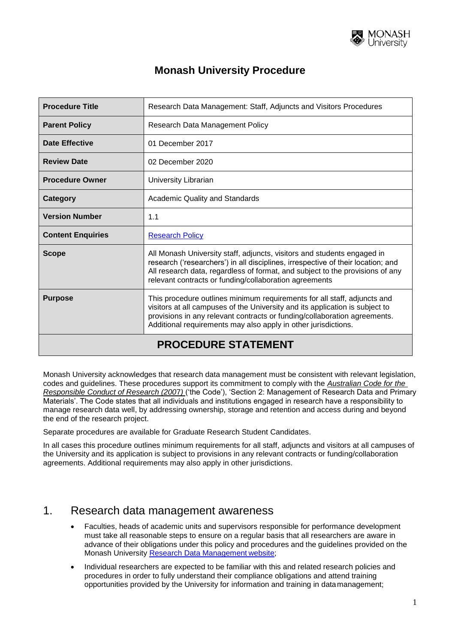

| <b>Procedure Title</b>     | Research Data Management: Staff, Adjuncts and Visitors Procedures                                                                                                                                                                                                                                       |  |
|----------------------------|---------------------------------------------------------------------------------------------------------------------------------------------------------------------------------------------------------------------------------------------------------------------------------------------------------|--|
| <b>Parent Policy</b>       | Research Data Management Policy                                                                                                                                                                                                                                                                         |  |
| <b>Date Effective</b>      | 01 December 2017                                                                                                                                                                                                                                                                                        |  |
| <b>Review Date</b>         | 02 December 2020                                                                                                                                                                                                                                                                                        |  |
| <b>Procedure Owner</b>     | University Librarian                                                                                                                                                                                                                                                                                    |  |
| Category                   | <b>Academic Quality and Standards</b>                                                                                                                                                                                                                                                                   |  |
| <b>Version Number</b>      | 1.1                                                                                                                                                                                                                                                                                                     |  |
| <b>Content Enquiries</b>   | <b>Research Policy</b>                                                                                                                                                                                                                                                                                  |  |
| <b>Scope</b>               | All Monash University staff, adjuncts, visitors and students engaged in<br>research ('researchers') in all disciplines, irrespective of their location; and<br>All research data, regardless of format, and subject to the provisions of any<br>relevant contracts or funding/collaboration agreements  |  |
| <b>Purpose</b>             | This procedure outlines minimum requirements for all staff, adjuncts and<br>visitors at all campuses of the University and its application is subject to<br>provisions in any relevant contracts or funding/collaboration agreements.<br>Additional requirements may also apply in other jurisdictions. |  |
| <b>PROCEDURE STATEMENT</b> |                                                                                                                                                                                                                                                                                                         |  |

Monash University acknowledges that research data management must be consistent with relevant legislation, codes and guidelines. These procedures support its commitment to comply with the *Australian Code for the Responsible Conduct of Research (200*7*)* ('the Code'), 'Section 2: Management of Research Data and Primary Materials'. The Code states that all individuals and institutions engaged in research have a responsibility to manage research data well, by addressing ownership, storage and retention and access during and beyond the end of the research project.

Separate procedures are available for [Graduate Research Student](http://www.monash.edu/policy-bank/academic/research/research-data-management-procedures-hdr-candidates) Candidates.

In all cases this procedure outlines minimum requirements for all staff, adjuncts and visitors at all campuses of the University and its application is subject to provisions in any relevant contracts or funding/collaboration agreements. Additional requirements may also apply in other jurisdictions.

#### 1. Research data management awareness

- Faculties, heads of academic units and supervisors responsible for performance development must take all reasonable steps to ensure on a regular basis that all researchers are aware in advance of their obligations under this policy and procedures and the guidelines provided on the Monash University [Research Data Management](http://monash.edu/library/researchdata/index.html) website;
- Individual researchers are expected to be familiar with this and related research policies and procedures in order to fully understand their compliance obligations and attend training opportunities provided by the University for information and training in datamanagement;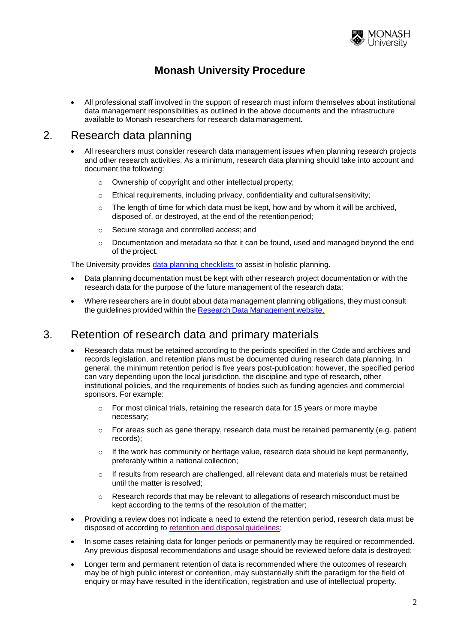

 All professional staff involved in the support of research must inform themselves about institutional data management responsibilities as outlined in the above documents and the infrastructure available to Monash researchers for research data management.

#### 2. Research data planning

- All researchers must consider research data management issues when planning research projects and other research activities. As a minimum, research data planning should take into account and document the following:
	- o Ownership of copyright and other intellectual property;
	- $\circ$  Ethical requirements, including privacy, confidentiality and cultural sensitivity;
	- The length of time for which data must be kept, how and by whom it will be archived, disposed of, or destroyed, at the end of the retention period;
	- o Secure storage and controlled access; and
	- $\circ$  Documentation and metadata so that it can be found, used and managed beyond the end of the project.

The University provides [data planning checklists t](http://www.researchdata.monash.edu.au/resources/datahdrchecklist.doc)o assist in holistic planning.

- Data planning documentation must be kept with other research project documentation or with the research data for the purpose of the future management of the research data;
- Where researchers are in doubt about data management planning obligations, they must consult the guidelines provided within the Research Data [Management](http://monash.edu/library/researchdata/index.html) website.

#### 3. Retention of research data and primary materials

- Research data must be retained according to the periods specified in the Code and archives and records legislation, and retention plans must be documented during research data planning. In general, the minimum retention period is five years post-publication: however, the specified period can vary depending upon the local jurisdiction, the discipline and type of research, other institutional policies, and the requirements of bodies such as funding agencies and commercial sponsors. For example:
	- $\circ$  For most clinical trials, retaining the research data for 15 years or more maybe necessary;
	- $\circ$  For areas such as gene therapy, research data must be retained permanently (e.g. patient records);
	- $\circ$  If the work has community or heritage value, research data should be kept permanently, preferably within a national collection;
	- $\circ$  If results from research are challenged, all relevant data and materials must be retained until the matter is resolved;
	- $\circ$  Research records that may be relevant to allegations of research misconduct must be kept according to the terms of the resolution of the matter;
- Providing a review does not indicate a need to extend the retention period, research data must be disposed of according to [retention and disposal](http://www.researchdata.monash.edu/guidelines/retention.html) guidelines;
- In some cases retaining data for longer periods or permanently may be required or recommended. Any previous disposal recommendations and usage should be reviewed before data is destroyed;
- Longer term and permanent retention of data is recommended where the outcomes of research may be of high public interest or contention, may substantially shift the paradigm for the field of enquiry or may have resulted in the identification, registration and use of intellectual property.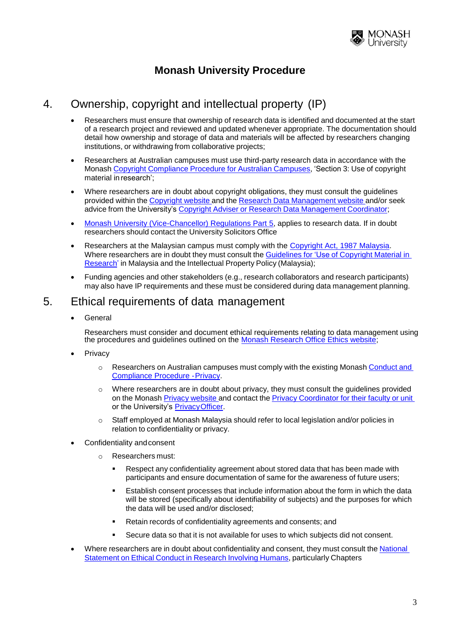

#### 4. Ownership, copyright and intellectual property (IP)

- Researchers must ensure that ownership of research data is identified and documented at the start of a research project and reviewed and updated whenever appropriate. The documentation should detail how ownership and storage of data and materials will be affected by researchers changing institutions, or withdrawing from collaborative projects;
- Researchers at Australian campuses must use third-party research data in accordance with the Monash Copyright [Compliance](https://publicpolicydms.monash.edu/Monash/documents/1909249) Procedure for Australian Campuses, 'Section 3: Use of copyright material in research';
- Where researchers are in doubt about copyright obligations, they must consult the guidelines provided within the [Copyright](http://www.copyright.monash.edu.au/) website and the Research Data [Management](http://monash.edu/library/researchdata/index.html) website and/or seek advice from the University's [Copyright](mailto:University.Copyright@lib.monash.edu.au) Adviser or Research Data Management Coordinator;
- [Monash University \(Vice-Chancellor\) Regulations Part 5,](http://www.monash.edu.au/legal/legislation/current-statute-regulations-and-related-resolutions/monash-university-vice-chancellor-regulations-with-amendments.pdf) applies to research data. If in doubt researchers should contact the University Solicitors Office
- Researchers at the Malaysian campus must comply with the [Copyright Act, 1987](https://en.wikipedia.org/wiki/Copyright_law_of_Malaysia) [Malaysia.](https://en.wikipedia.org/wiki/Copyright_law_of_Malaysia) Where researchers are in doubt they must consult the Guidelines for 'Use of Copyright Material in Research' in Malaysia and the Intellectual Property Policy (Malaysia);
- Funding agencies and other stakeholders (e.g., research [collaborators](http://www.myipo.gov.my/hakcipta-akta) and research participants) [may](http://www.myipo.gov.my/hakcipta-akta) also have IP requirements and these must be considered during data management planning.

#### 5. Ethical requirements of data management

General

Researchers must consider and document ethical requirements relating to data management using the procedures and guidelines outlined on the Monash Research Office Ethics website;

- **Privacy** 
	- o Researchers on Australian campuses must comply with the existing Monash [Conduct](https://publicpolicydms.monash.edu/Monash/documents/1909233) and Compliance Procedure -Privacy.
	- o Where researchers are in doubt about privacy, they must consult the guidelines [provided](http://www.privacy.monash.edu.au/procedure/) on the [Monash](http://www.privacy.monash.edu.au/procedure/) Privacy [website](http://www.privacy.monash.edu.au/) and contact the Privacy Coordinator for their faculty or unit or the University's PrivacyOfficer.
	- o Staff employed at Monash Malaysia should refer to local [legislation](http://www.privacy.monash.edu.au/contacts.html) and/or policies in [re](http://www.privacy.monash.edu.au/contacts.html)lation to confidentiality or [privacy.](mailto:privacyofficer@adm.monash.edu.au)
- Confidentiality andconsent
	- o Researchers must:
		- Respect any confidentiality agreement about stored data that has been made with participants and ensure documentation of same for the awareness of future users;
		- Establish consent processes that include information about the form in which the data will be stored (specifically about identifiability of subjects) and the purposes for which the data will be used and/or disclosed;
		- Retain records of confidentiality agreements and consents; and
		- Secure data so that it is not available for uses to which subjects did not consent.
- Where researchers are in doubt about confidentiality and consent, they must consult the National Statement on Ethical Conduct in Research Involving Humans, particularly Chapters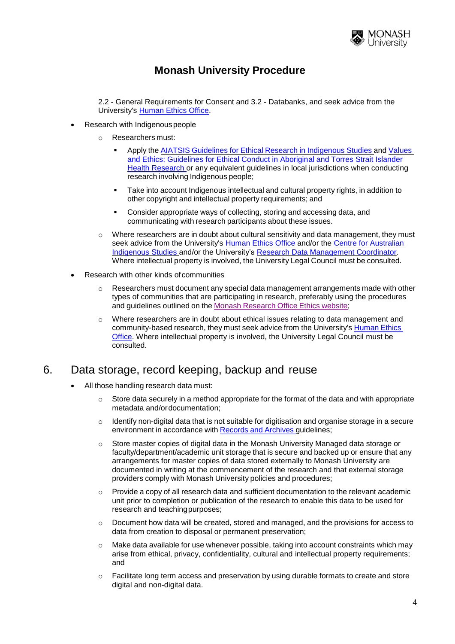

2.2 - General Requirements for Consent and 3.2 - Databanks, and seek advice from the University's [Human Ethics Office.](mailto:muhrec@monash.edu.au)

- Research with Indigenous people
	- o Researchers must:
		- Apply the AIATSIS Guidelines for Ethical Research in [Indigenous](http://www.aiatsis.gov.au/research/docs/ethics.pdf) Studies and [Values](http://www.nhmrc.gov.au/publications/synopses/e52syn.htm)  [and Ethics: Guidelines for Ethical Conduct in Aboriginal and Torres Strait Islander](http://www.nhmrc.gov.au/publications/synopses/e52syn.htm)  [Health Research o](http://www.nhmrc.gov.au/publications/synopses/e52syn.htm)r any equivalent guidelines in local jurisdictions when conducting research involving Indigenous people;
		- Take into account Indigenous intellectual and cultural property rights, in addition to other copyright and intellectual property requirements; and
		- Consider appropriate ways of collecting, storing and accessing data, and communicating with research participants about these issues.
	- $\circ$  Where researchers are in doubt about cultural sensitivity and data management, they must seek advice from the University's [Human Ethics Office a](http://intranet.monash.edu.au/researchadmin/human/index.php)nd/or the Cent[re for Australian](http://arts.monash.edu.au/cais/)  [Indigenous Studies and/or the](http://arts.monash.edu.au/cais/) University's Research [Data Management Coordinator.](mailto:researchdata@monash.edu) [Where](mailto:researchdata@monash.edu) intellectual property is involved, the University Legal Council must be consulted.
- Research with other kinds ofcommunities
	- $\circ$  Researchers must document any special data management arrangements made with other types of communities that are participating in research, preferably using the procedures and guidelines outlined on the Monash Research Office Ethics website;
	- $\circ$  Where researchers are in doubt about ethi[cal issues relating to data management](http://www.monash.edu.au/researchoffice/index.php) and community-based research, they must seek advice from the University's Human Ethics Office. Where intellectual property is involved, the University Legal Council [must be](http://intranet.monash.edu.au/researchadmin/human/index.php) [consu](http://intranet.monash.edu.au/researchadmin/human/index.php)lted.

#### 6. Data storage, record keeping, backup and reuse

- All those handling research data must:
	- $\circ$  Store data securely in a method appropriate for the format of the data and with appropriate metadata and/ordocumentation;
	- $\circ$  Identify non-digital data that is not suitable for digitisation and organise storage in a secure environment in accordance with Records and Archives [guidelines;](http://www.adm.monash.edu.au/records-archives/)
	- $\circ$  Store master copies of digital data in the Monash University Managed data storage or faculty/department/academic unit storage that is secure and backed up or ensure that any arrangements for master copies of data stored externally to Monash University are documented in writing at the commencement of the research and that external storage providers comply with Monash University policies and procedures;
	- $\circ$  Provide a copy of all research data and sufficient documentation to the relevant academic unit prior to completion or publication of the research to enable this data to be used for research and teachingpurposes;
	- $\circ$  Document how data will be created, stored and managed, and the provisions for access to data from creation to disposal or permanent preservation;
	- $\circ$  Make data available for use whenever possible, taking into account constraints which may arise from ethical, privacy, confidentiality, cultural and intellectual property requirements; and
	- $\circ$  Facilitate long term access and preservation by using durable formats to create and store digital and non-digital data.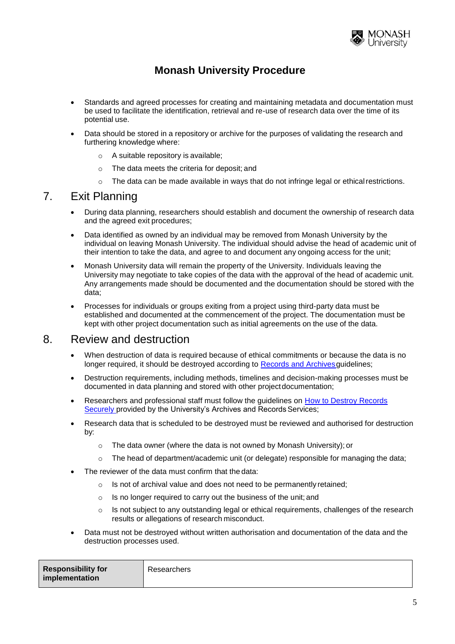

- Standards and agreed processes for creating and maintaining metadata and documentation must be used to facilitate the identification, retrieval and re-use of research data over the time of its potential use.
- Data should be stored in a repository or archive for the purposes of validating the research and furthering knowledge where:
	- o A suitable repository is available;
	- o The data meets the criteria for deposit; and
	- $\circ$  The data can be made available in ways that do not infringe legal or ethical restrictions.

#### 7. Exit Planning

- During data planning, researchers should establish and document the ownership of research data and the agreed exit procedures;
- Data identified as owned by an individual may be removed from Monash University by the individual on leaving Monash University. The individual should advise the head of academic unit of their intention to take the data, and agree to and document any ongoing access for the unit;
- Monash University data will remain the property of the University. Individuals leaving the University may negotiate to take copies of the data with the approval of the head of academic unit. Any arrangements made should be documented and the documentation should be stored with the data;
- Processes for individuals or groups exiting from a project using third-party data must be established and documented at the commencement of the project. The documentation must be kept with other project documentation such as initial agreements on the use of the data.

#### 8. Review and destruction

- When destruction of data is required because of ethical commitments or because the data is no longer required, it should be destroyed according to Records and Archives guidelines;
- Destruction requirements, including methods, timelines and decision-making processes must be documented in data planning and stored with other project documentation;
- Researchers and professional staff must follow the guidelines on [How to Destroy Records](http://adm.monash.edu/records-archives/archives/disposal/destroy-records-securely.html)  [Securely p](http://adm.monash.edu/records-archives/archives/disposal/destroy-records-securely.html)rovided by the University's Archives and Records Services;
- Research data that is scheduled to be destroyed must be reviewed and authorised for destruction by:
	- o The data owner (where the data is not owned by Monash University); or
	- $\circ$  The head of department/academic unit (or delegate) responsible for managing the data;
- The reviewer of the data must confirm that the data:
	- o Is not of archival value and does not need to be permanently retained;
	- o Is no longer required to carry out the business of the unit; and
	- $\circ$  Is not subject to any outstanding legal or ethical requirements, challenges of the research results or allegations of research misconduct.
- Data must not be destroyed without written authorisation and documentation of the data and the destruction processes used.

| <b>Responsibility for</b><br>implementation | Researchers |
|---------------------------------------------|-------------|
|---------------------------------------------|-------------|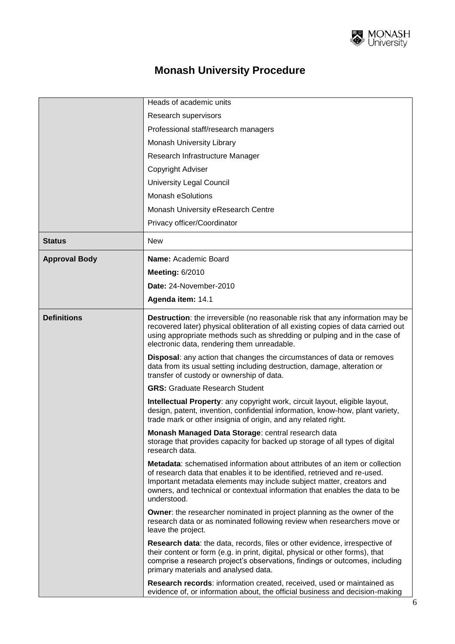

|                      | Heads of academic units                                                                                                                                                                                                                                                                                                               |
|----------------------|---------------------------------------------------------------------------------------------------------------------------------------------------------------------------------------------------------------------------------------------------------------------------------------------------------------------------------------|
|                      | Research supervisors                                                                                                                                                                                                                                                                                                                  |
|                      | Professional staff/research managers                                                                                                                                                                                                                                                                                                  |
|                      | Monash University Library                                                                                                                                                                                                                                                                                                             |
|                      | Research Infrastructure Manager                                                                                                                                                                                                                                                                                                       |
|                      | <b>Copyright Adviser</b>                                                                                                                                                                                                                                                                                                              |
|                      | <b>University Legal Council</b>                                                                                                                                                                                                                                                                                                       |
|                      | <b>Monash eSolutions</b>                                                                                                                                                                                                                                                                                                              |
|                      | Monash University eResearch Centre                                                                                                                                                                                                                                                                                                    |
|                      | Privacy officer/Coordinator                                                                                                                                                                                                                                                                                                           |
| <b>Status</b>        | <b>New</b>                                                                                                                                                                                                                                                                                                                            |
| <b>Approval Body</b> | Name: Academic Board                                                                                                                                                                                                                                                                                                                  |
|                      | <b>Meeting: 6/2010</b>                                                                                                                                                                                                                                                                                                                |
|                      | Date: 24-November-2010                                                                                                                                                                                                                                                                                                                |
|                      | Agenda item: 14.1                                                                                                                                                                                                                                                                                                                     |
| <b>Definitions</b>   | <b>Destruction:</b> the irreversible (no reasonable risk that any information may be<br>recovered later) physical obliteration of all existing copies of data carried out<br>using appropriate methods such as shredding or pulping and in the case of<br>electronic data, rendering them unreadable.                                 |
|                      | <b>Disposal:</b> any action that changes the circumstances of data or removes<br>data from its usual setting including destruction, damage, alteration or<br>transfer of custody or ownership of data.                                                                                                                                |
|                      | <b>GRS: Graduate Research Student</b>                                                                                                                                                                                                                                                                                                 |
|                      | Intellectual Property: any copyright work, circuit layout, eligible layout,<br>design, patent, invention, confidential information, know-how, plant variety,<br>trade mark or other insignia of origin, and any related right.                                                                                                        |
|                      | Monash Managed Data Storage: central research data<br>storage that provides capacity for backed up storage of all types of digital<br>research data.                                                                                                                                                                                  |
|                      | <b>Metadata:</b> schematised information about attributes of an item or collection<br>of research data that enables it to be identified, retrieved and re-used.<br>Important metadata elements may include subject matter, creators and<br>owners, and technical or contextual information that enables the data to be<br>understood. |
|                      | Owner: the researcher nominated in project planning as the owner of the<br>research data or as nominated following review when researchers move or<br>leave the project.                                                                                                                                                              |
|                      | Research data: the data, records, files or other evidence, irrespective of<br>their content or form (e.g. in print, digital, physical or other forms), that<br>comprise a research project's observations, findings or outcomes, including<br>primary materials and analysed data.                                                    |
|                      | Research records: information created, received, used or maintained as<br>evidence of, or information about, the official business and decision-making                                                                                                                                                                                |